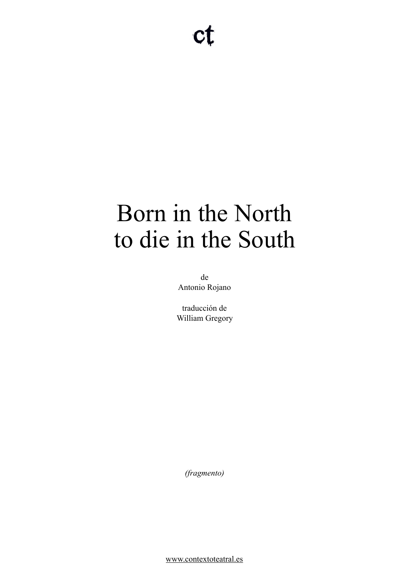# Born in the North to die in the South

de Antonio Rojano

traducción de William Gregory

*(fragmento)* 

[www.contextoteatral.es](http://www.contextoteatral.es)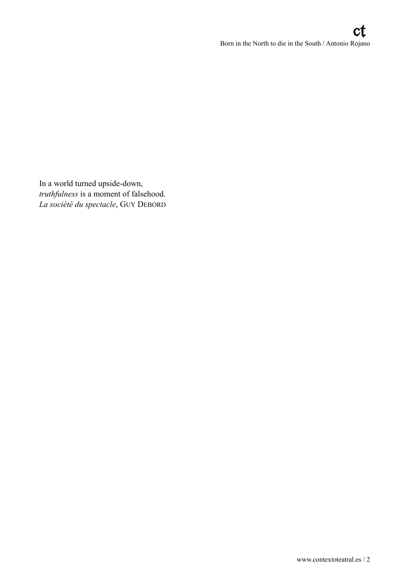In a world turned upside-down, *truthfulness* is a moment of falsehood. *La société du spectacle*, GUY DEBORD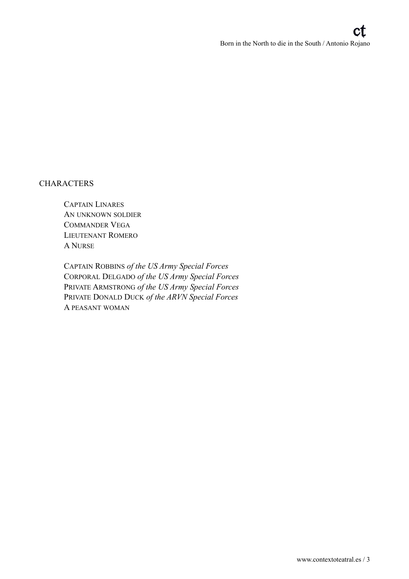## **CHARACTERS**

 CAPTAIN LINARES AN UNKNOWN SOLDIER COMMANDER VEGA LIEUTENANT ROMERO A NURSE

 CAPTAIN ROBBINS *of the US Army Special Forces* CORPORAL DELGADO *of the US Army Special Forces* PRIVATE ARMSTRONG *of the US Army Special Forces* PRIVATE DONALD DUCK *of the ARVN Special Forces* A PEASANT WOMAN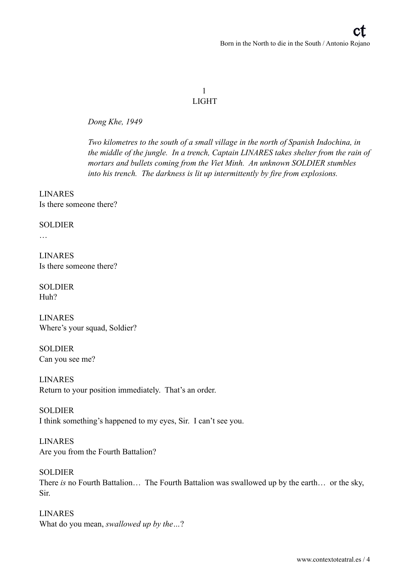## 1 LIGHT

*Dong Khe, 1949* 

*Two kilometres to the south of a small village in the north of Spanish Indochina, in the middle of the jungle. In a trench, Captain LINARES takes shelter from the rain of mortars and bullets coming from the Viet Minh. An unknown SOLDIER stumbles into his trench. The darkness is lit up intermittently by fire from explosions.* 

LINARES Is there someone there?

## SOLDIER

…

LINARES Is there someone there?

SOLDIER Huh?

LINARES Where's your squad, Soldier?

SOLDIER Can you see me?

LINARES Return to your position immediately. That's an order.

SOLDIER I think something's happened to my eyes, Sir. I can't see you.

LINARES Are you from the Fourth Battalion?

SOLDIER There *is* no Fourth Battalion… The Fourth Battalion was swallowed up by the earth… or the sky, Sir.

LINARES What do you mean, *swallowed up by the…*?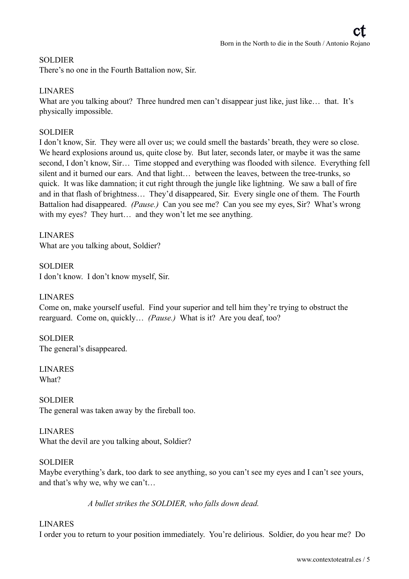## SOLDIER

There's no one in the Fourth Battalion now, Sir.

## LINARES

What are you talking about? Three hundred men can't disappear just like, just like... that. It's physically impossible.

## **SOLDIER**

I don't know, Sir. They were all over us; we could smell the bastards' breath, they were so close. We heard explosions around us, quite close by. But later, seconds later, or maybe it was the same second, I don't know, Sir… Time stopped and everything was flooded with silence. Everything fell silent and it burned our ears. And that light… between the leaves, between the tree-trunks, so quick. It was like damnation; it cut right through the jungle like lightning. We saw a ball of fire and in that flash of brightness… They'd disappeared, Sir. Every single one of them. The Fourth Battalion had disappeared. *(Pause.)* Can you see me? Can you see my eyes, Sir? What's wrong with my eyes? They hurt... and they won't let me see anything.

LINARES What are you talking about, Soldier?

SOLDIER I don't know. I don't know myself, Sir.

## LINARES

Come on, make yourself useful. Find your superior and tell him they're trying to obstruct the rearguard. Come on, quickly… *(Pause.)* What is it? Are you deaf, too?

## SOLDIER

The general's disappeared.

LINARES What?

SOLDIER The general was taken away by the fireball too.

## LINARES

What the devil are you talking about, Soldier?

## SOLDIER

Maybe everything's dark, too dark to see anything, so you can't see my eyes and I can't see yours, and that's why we, why we can't…

*A bullet strikes the SOLDIER, who falls down dead.* 

## LINARES

I order you to return to your position immediately. You're delirious. Soldier, do you hear me? Do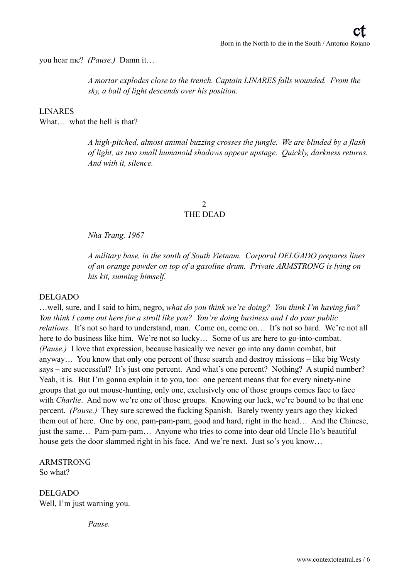you hear me? *(Pause.)* Damn it…

*A mortar explodes close to the trench. Captain LINARES falls wounded. From the sky, a ball of light descends over his position.* 

LINARES

What what the hell is that?

*A high-pitched, almost animal buzzing crosses the jungle. We are blinded by a flash of light, as two small humanoid shadows appear upstage. Quickly, darkness returns. And with it, silence.* 

## 2 THE DEAD

*Nha Trang, 1967* 

*A military base, in the south of South Vietnam. Corporal DELGADO prepares lines of an orange powder on top of a gasoline drum. Private ARMSTRONG is lying on his kit, sunning himself.* 

#### DELGADO

…well, sure, and I said to him, negro, *what do you think we're doing? You think I'm having fun? You think I came out here for a stroll like you? You're doing business and I do your public relations.* It's not so hard to understand, man. Come on, come on... It's not so hard. We're not all here to do business like him. We're not so lucky... Some of us are here to go-into-combat. *(Pause.)* I love that expression, because basically we never go into any damn combat, but anyway… You know that only one percent of these search and destroy missions – like big Westy says – are successful? It's just one percent. And what's one percent? Nothing? A stupid number? Yeah, it is. But I'm gonna explain it to you, too: one percent means that for every ninety-nine groups that go out mouse-hunting, only one, exclusively one of those groups comes face to face with *Charlie*. And now we're one of those groups. Knowing our luck, we're bound to be that one percent. *(Pause.)* They sure screwed the fucking Spanish. Barely twenty years ago they kicked them out of here. One by one, pam-pam-pam, good and hard, right in the head… And the Chinese, just the same… Pam-pam-pam… Anyone who tries to come into dear old Uncle Ho's beautiful house gets the door slammed right in his face. And we're next. Just so's you know…

ARMSTRONG So what?

DELGADO Well, I'm just warning you.

*Pause.*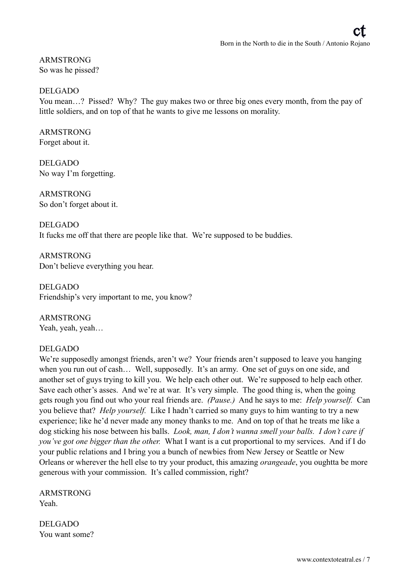ARMSTRONG So was he pissed?

#### DELGADO

You mean...? Pissed? Why? The guy makes two or three big ones every month, from the pay of little soldiers, and on top of that he wants to give me lessons on morality.

#### ARMSTRONG Forget about it.

DELGADO No way I'm forgetting.

ARMSTRONG So don't forget about it.

DELGADO It fucks me off that there are people like that. We're supposed to be buddies.

ARMSTRONG Don't believe everything you hear.

DELGADO Friendship's very important to me, you know?

ARMSTRONG Yeah, yeah, yeah…

## DELGADO

We're supposedly amongst friends, aren't we? Your friends aren't supposed to leave you hanging when you run out of cash… Well, supposedly. It's an army. One set of guys on one side, and another set of guys trying to kill you. We help each other out. We're supposed to help each other. Save each other's asses. And we're at war. It's very simple. The good thing is, when the going gets rough you find out who your real friends are. *(Pause.)* And he says to me: *Help yourself.* Can you believe that? *Help yourself.* Like I hadn't carried so many guys to him wanting to try a new experience; like he'd never made any money thanks to me. And on top of that he treats me like a dog sticking his nose between his balls. *Look, man, I don't wanna smell your balls. I don't care if you've got one bigger than the other.* What I want is a cut proportional to my services. And if I do your public relations and I bring you a bunch of newbies from New Jersey or Seattle or New Orleans or wherever the hell else to try your product, this amazing *orangeade*, you oughtta be more generous with your commission. It's called commission, right?

ARMSTRONG Yeah.

DELGADO You want some?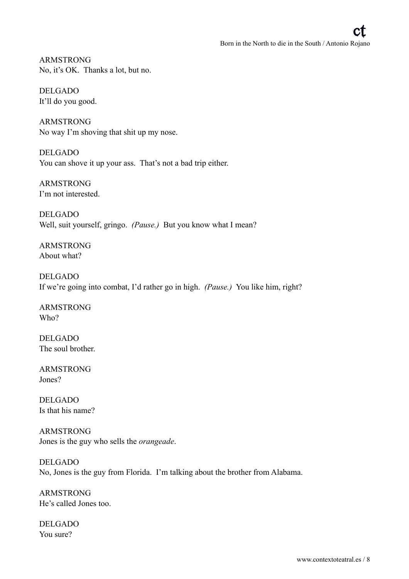ARMSTRONG No, it's OK. Thanks a lot, but no.

DELGADO It'll do you good.

ARMSTRONG No way I'm shoving that shit up my nose.

DELGADO You can shove it up your ass. That's not a bad trip either.

ARMSTRONG I'm not interested.

DELGADO Well, suit yourself, gringo. *(Pause.)* But you know what I mean?

ARMSTRONG About what?

DELGADO If we're going into combat, I'd rather go in high. *(Pause.)* You like him, right?

ARMSTRONG Who?

DELGADO The soul brother.

ARMSTRONG Jones?

DELGADO Is that his name?

ARMSTRONG Jones is the guy who sells the *orangeade*.

DELGADO No, Jones is the guy from Florida. I'm talking about the brother from Alabama.

ARMSTRONG He's called Jones too.

DELGADO You sure?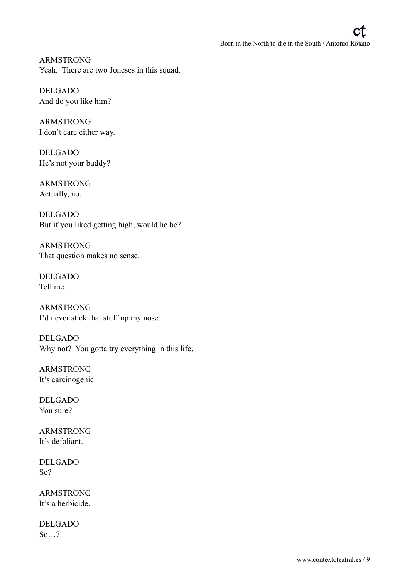ARMSTRONG Yeah. There are two Joneses in this squad.

DELGADO And do you like him?

ARMSTRONG I don't care either way.

DELGADO He's not your buddy?

ARMSTRONG Actually, no.

DELGADO But if you liked getting high, would he be?

ARMSTRONG That question makes no sense.

DELGADO Tell me.

ARMSTRONG I'd never stick that stuff up my nose.

DELGADO Why not? You gotta try everything in this life.

ARMSTRONG It's carcinogenic.

DELGADO You sure?

ARMSTRONG It's defoliant.

DELGADO So?

ARMSTRONG It's a herbicide.

DELGADO So…?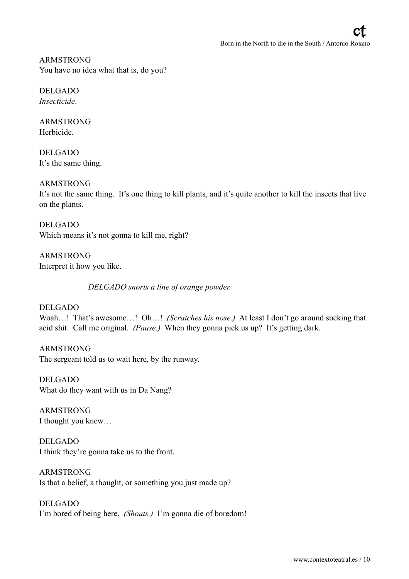ARMSTRONG You have no idea what that is, do you?

DELGADO *Insecticide*.

ARMSTRONG Herbicide.

DELGADO It's the same thing.

## ARMSTRONG

It's not the same thing. It's one thing to kill plants, and it's quite another to kill the insects that live on the plants.

DELGADO Which means it's not gonna to kill me, right?

ARMSTRONG Interpret it how you like.

*DELGADO snorts a line of orange powder.* 

DELGADO Woah…! That's awesome…! Oh…! *(Scratches his nose.)* At least I don't go around sucking that acid shit. Call me original. *(Pause.)* When they gonna pick us up? It's getting dark.

ARMSTRONG The sergeant told us to wait here, by the runway.

DELGADO What do they want with us in Da Nang?

ARMSTRONG I thought you knew…

DELGADO I think they're gonna take us to the front.

ARMSTRONG Is that a belief, a thought, or something you just made up?

DELGADO I'm bored of being here. *(Shouts.)* I'm gonna die of boredom!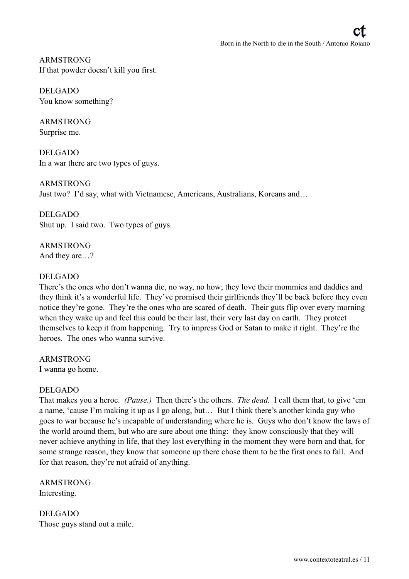ARMSTRONG If that powder doesn't kill you first.

DELGADO You know something?

ARMSTRONG Surprise me.

DELGADO In a war there are two types of guys.

ARMSTRONG Just two? I'd say, what with Vietnamese, Americans, Australians, Koreans and…

DELGADO Shut up. I said two. Two types of guys.

ARMSTRONG And they are…?

## DELGADO

There's the ones who don't wanna die, no way, no how; they love their mommies and daddies and they think it's a wonderful life. They've promised their girlfriends they'll be back before they even notice they're gone. They're the ones who are scared of death. Their guts flip over every morning when they wake up and feel this could be their last, their very last day on earth. They protect themselves to keep it from happening. Try to impress God or Satan to make it right. They're the heroes. The ones who wanna survive.

ARMSTRONG I wanna go home.

## DELGADO

That makes you a heroe. *(Pause.)* Then there's the others. *The dead.* I call them that, to give 'em a name, 'cause I'm making it up as I go along, but… But I think there's another kinda guy who goes to war because he's incapable of understanding where he is. Guys who don't know the laws of the world around them, but who are sure about one thing: they know consciously that they will never achieve anything in life, that they lost everything in the moment they were born and that, for some strange reason, they know that someone up there chose them to be the first ones to fall. And for that reason, they're not afraid of anything.

ARMSTRONG Interesting.

DELGADO Those guys stand out a mile.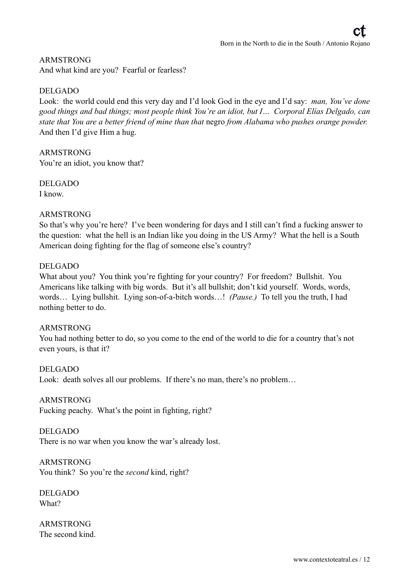## ARMSTRONG

And what kind are you? Fearful or fearless?

## DELGADO

Look: the world could end this very day and I'd look God in the eye and I'd say: *man, You've done good things and bad things; most people think You're an idiot, but I… Corporal Elías Delgado, can state that You are a better friend of mine than that* negro *from Alabama who pushes orange powder.* And then I'd give Him a hug.

ARMSTRONG You're an idiot, you know that?

DELGADO I know.

## ARMSTRONG

So that's why you're here? I've been wondering for days and I still can't find a fucking answer to the question: what the hell is an Indian like you doing in the US Army? What the hell is a South American doing fighting for the flag of someone else's country?

## DELGADO

What about you? You think you're fighting for your country? For freedom? Bullshit. You Americans like talking with big words. But it's all bullshit; don't kid yourself. Words, words, words… Lying bullshit. Lying son-of-a-bitch words…! *(Pause.)* To tell you the truth, I had nothing better to do.

## ARMSTRONG

You had nothing better to do, so you come to the end of the world to die for a country that's not even yours, is that it?

DELGADO

Look: death solves all our problems. If there's no man, there's no problem...

## ARMSTRONG

Fucking peachy. What's the point in fighting, right?

DELGADO

There is no war when you know the war's already lost.

ARMSTRONG

You think? So you're the *second* kind, right?

DELGADO What?

ARMSTRONG The second kind.